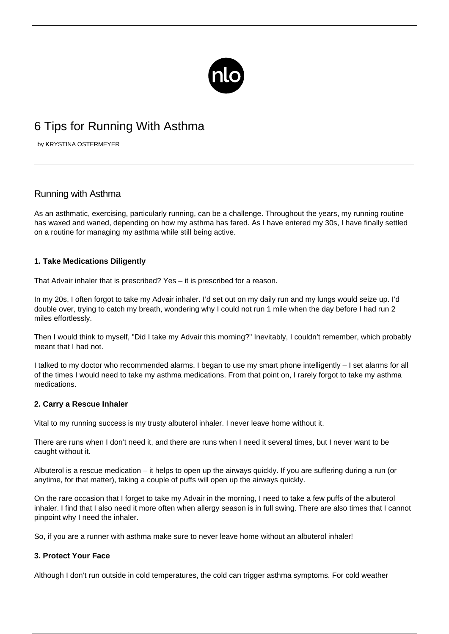

# 6 Tips for Running With Asthma

by KRYSTINA OSTERMEYER

# Running with Asthma

As an asthmatic, exercising, particularly running, can be a challenge. Throughout the years, my running routine has waxed and waned, depending on how my asthma has fared. As I have entered my 30s, I have finally settled on a routine for managing my asthma while still being active.

# **1. Take Medications Diligently**

That Advair inhaler that is prescribed? Yes – it is prescribed for a reason.

In my 20s, I often forgot to take my Advair inhaler. I'd set out on my daily run and my lungs would seize up. I'd double over, trying to catch my breath, wondering why I could not run 1 mile when the day before I had run 2 miles effortlessly.

Then I would think to myself, "Did I take my Advair this morning?" Inevitably, I couldn't remember, which probably meant that I had not.

I talked to my doctor who recommended alarms. I began to use my smart phone intelligently – I set alarms for all of the times I would need to take my asthma medications. From that point on, I rarely forgot to take my asthma medications.

#### **2. Carry a Rescue Inhaler**

Vital to my running success is my trusty albuterol inhaler. I never leave home without it.

There are runs when I don't need it, and there are runs when I need it several times, but I never want to be caught without it.

Albuterol is a rescue medication – it helps to open up the airways quickly. If you are suffering during a run (or anytime, for that matter), taking a couple of puffs will open up the airways quickly.

On the rare occasion that I forget to take my Advair in the morning, I need to take a few puffs of the albuterol inhaler. I find that I also need it more often when allergy season is in full swing. There are also times that I cannot pinpoint why I need the inhaler.

So, if you are a runner with asthma make sure to never leave home without an albuterol inhaler!

#### **3. Protect Your Face**

Although I don't run outside in cold temperatures, the cold can trigger asthma symptoms. For cold weather